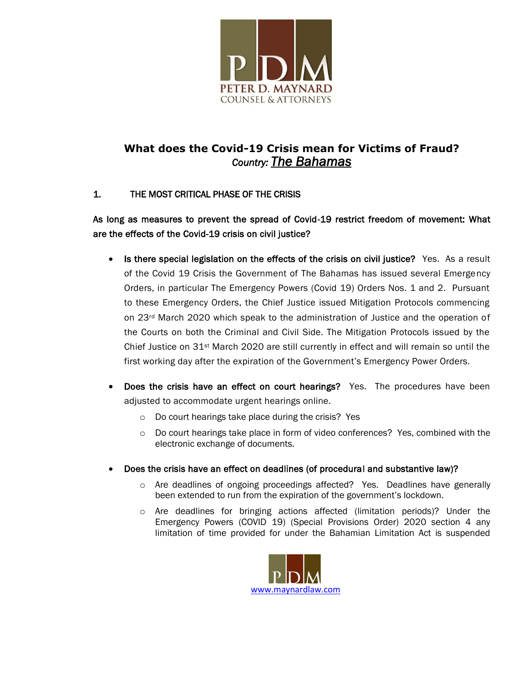

# **What does the Covid-19 Crisis mean for Victims of Fraud?** *Country: The Bahamas*

## 1. THE MOST CRITICAL PHASE OF THE CRISIS

## As long as measures to prevent the spread of Covid-19 restrict freedom of movement: What are the effects of the Covid-19 crisis on civil justice?

- Is there special legislation on the effects of the crisis on civil justice? Yes. As a result of the Covid 19 Crisis the Government of The Bahamas has issued several Emergency Orders, in particular The Emergency Powers (Covid 19) Orders Nos. 1 and 2. Pursuant to these Emergency Orders, the Chief Justice issued Mitigation Protocols commencing on 23rd March 2020 which speak to the administration of Justice and the operation of the Courts on both the Criminal and Civil Side. The Mitigation Protocols issued by the Chief Justice on 31st March 2020 are still currently in effect and will remain so until the first working day after the expiration of the Government's Emergency Power Orders.
- Does the crisis have an effect on court hearings? Yes. The procedures have been adjusted to accommodate urgent hearings online.
	- o Do court hearings take place during the crisis? Yes
	- $\circ$  Do court hearings take place in form of video conferences? Yes, combined with the electronic exchange of documents.
- Does the crisis have an effect on deadlines (of procedural and substantive law)?
	- o Are deadlines of ongoing proceedings affected? Yes. Deadlines have generally been extended to run from the expiration of the government's lockdown.
	- o Are deadlines for bringing actions affected (limitation periods)? Under the Emergency Powers (COVID 19) (Special Provisions Order) 2020 section 4 any limitation of time provided for under the Bahamian Limitation Act is suspended

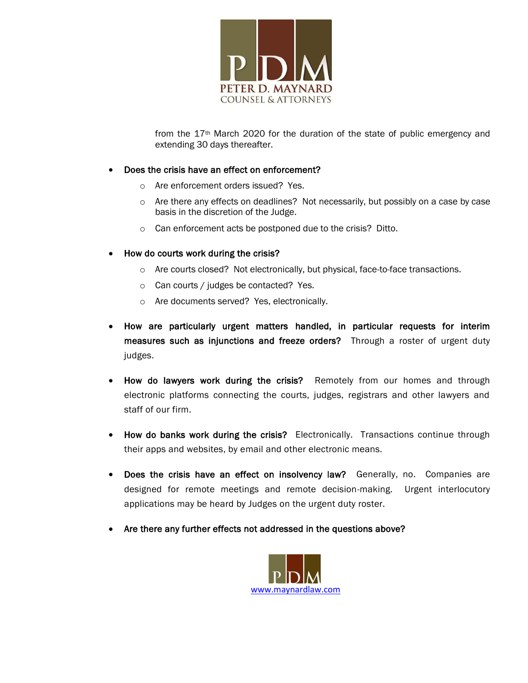

from the 17th March 2020 for the duration of the state of public emergency and extending 30 days thereafter.

#### Does the crisis have an effect on enforcement?

- o Are enforcement orders issued? Yes.
- $\circ$  Are there any effects on deadlines? Not necessarily, but possibly on a case by case basis in the discretion of the Judge.
- o Can enforcement acts be postponed due to the crisis? Ditto.
- How do courts work during the crisis?
	- o Are courts closed? Not electronically, but physical, face-to-face transactions.
	- o Can courts / judges be contacted? Yes.
	- o Are documents served? Yes, electronically.
- How are particularly urgent matters handled, in particular requests for interim measures such as injunctions and freeze orders? Through a roster of urgent duty judges.
- How do lawyers work during the crisis? Remotely from our homes and through electronic platforms connecting the courts, judges, registrars and other lawyers and staff of our firm.
- How do banks work during the crisis? Electronically. Transactions continue through their apps and websites, by email and other electronic means.
- Does the crisis have an effect on insolvency law? Generally, no. Companies are designed for remote meetings and remote decision-making. Urgent interlocutory applications may be heard by Judges on the urgent duty roster.
- Are there any further effects not addressed in the questions above?

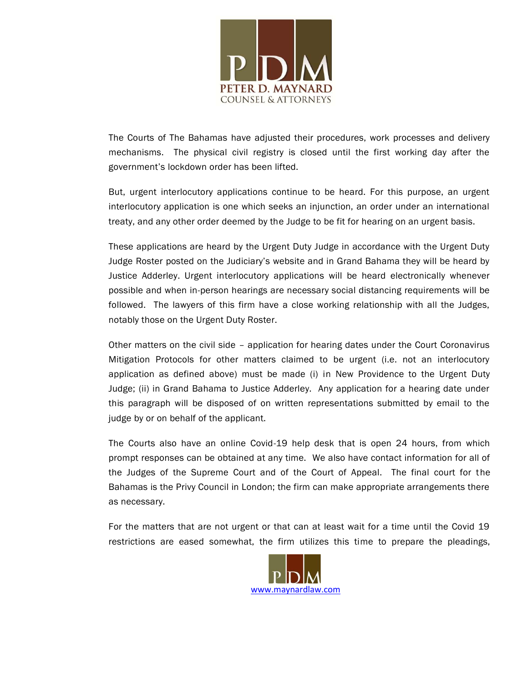

The Courts of The Bahamas have adjusted their procedures, work processes and delivery mechanisms. The physical civil registry is closed until the first working day after the government's lockdown order has been lifted.

But, urgent interlocutory applications continue to be heard. For this purpose, an urgent interlocutory application is one which seeks an injunction, an order under an international treaty, and any other order deemed by the Judge to be fit for hearing on an urgent basis.

These applications are heard by the Urgent Duty Judge in accordance with the Urgent Duty Judge Roster posted on the Judiciary's website and in Grand Bahama they will be heard by Justice Adderley. Urgent interlocutory applications will be heard electronically whenever possible and when in-person hearings are necessary social distancing requirements will be followed. The lawyers of this firm have a close working relationship with all the Judges, notably those on the Urgent Duty Roster.

Other matters on the civil side – application for hearing dates under the Court Coronavirus Mitigation Protocols for other matters claimed to be urgent (i.e. not an interlocutory application as defined above) must be made (i) in New Providence to the Urgent Duty Judge; (ii) in Grand Bahama to Justice Adderley. Any application for a hearing date under this paragraph will be disposed of on written representations submitted by email to the judge by or on behalf of the applicant.

The Courts also have an online Covid-19 help desk that is open 24 hours, from which prompt responses can be obtained at any time. We also have contact information for all of the Judges of the Supreme Court and of the Court of Appeal. The final court for the Bahamas is the Privy Council in London; the firm can make appropriate arrangements there as necessary.

For the matters that are not urgent or that can at least wait for a time until the Covid 19 restrictions are eased somewhat, the firm utilizes this time to prepare the pleadings,

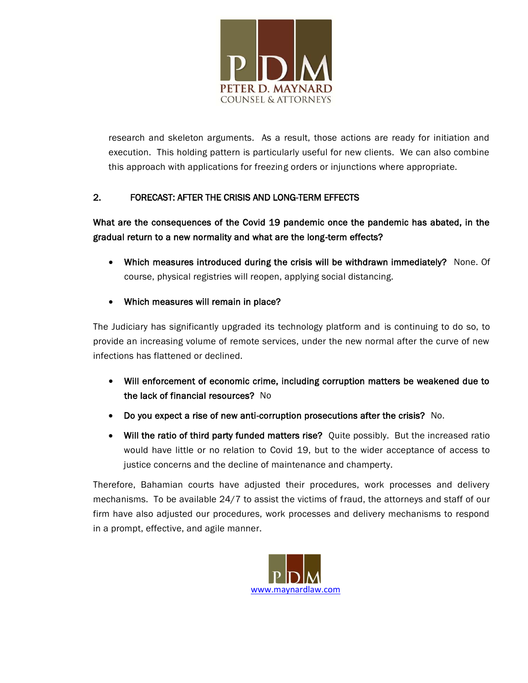

research and skeleton arguments. As a result, those actions are ready for initiation and execution. This holding pattern is particularly useful for new clients. We can also combine this approach with applications for freezing orders or injunctions where appropriate.

## 2. FORECAST: AFTER THE CRISIS AND LONG-TERM EFFECTS

## What are the consequences of the Covid 19 pandemic once the pandemic has abated, in the gradual return to a new normality and what are the long-term effects?

- Which measures introduced during the crisis will be withdrawn immediately? None. Of course, physical registries will reopen, applying social distancing.
- Which measures will remain in place?

The Judiciary has significantly upgraded its technology platform and is continuing to do so, to provide an increasing volume of remote services, under the new normal after the curve of new infections has flattened or declined.

- Will enforcement of economic crime, including corruption matters be weakened due to the lack of financial resources? No
- Do you expect a rise of new anti-corruption prosecutions after the crisis? No.
- Will the ratio of third party funded matters rise? Quite possibly. But the increased ratio would have little or no relation to Covid 19, but to the wider acceptance of access to justice concerns and the decline of maintenance and champerty.

Therefore, Bahamian courts have adjusted their procedures, work processes and delivery mechanisms. To be available 24/7 to assist the victims of fraud, the attorneys and staff of our firm have also adjusted our procedures, work processes and delivery mechanisms to respond in a prompt, effective, and agile manner.